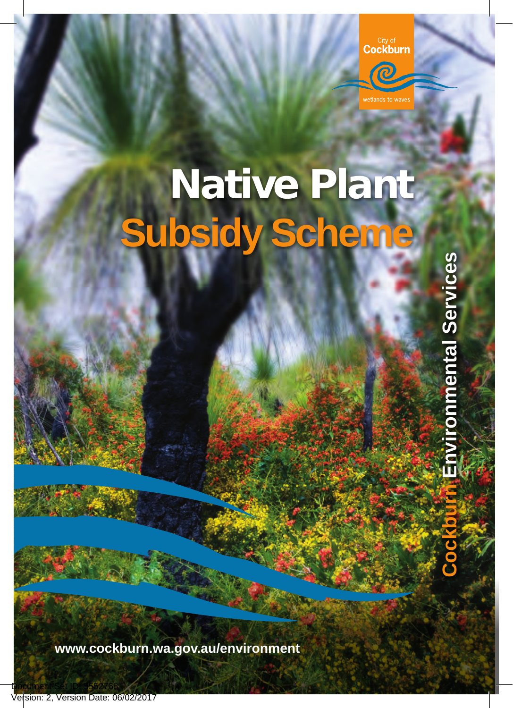City of<br>Cockburn

**O** 



onmental Services **Cockburn Environmental Services**

**www.cockburn.wa.gov.au/environment**